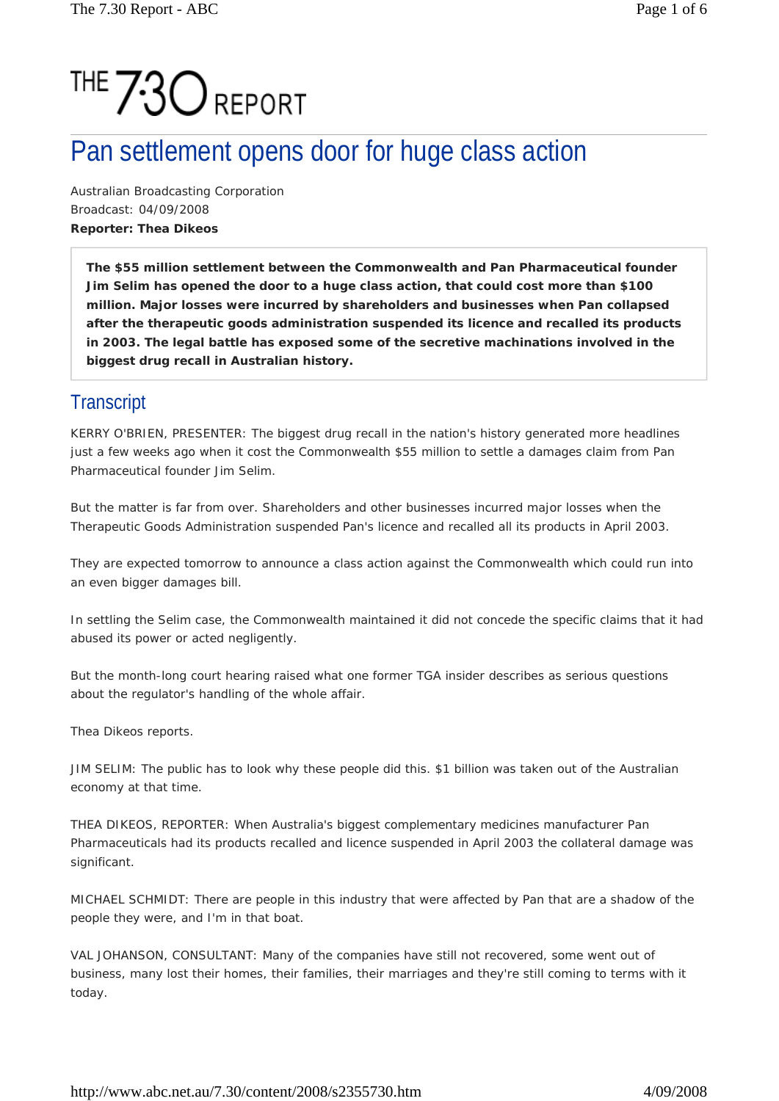# THE 730 REPORT

## Pan settlement opens door for huge class action

Australian Broadcasting Corporation Broadcast: 04/09/2008 **Reporter: Thea Dikeos** 

**The \$55 million settlement between the Commonwealth and Pan Pharmaceutical founder Jim Selim has opened the door to a huge class action, that could cost more than \$100 million. Major losses were incurred by shareholders and businesses when Pan collapsed after the therapeutic goods administration suspended its licence and recalled its products in 2003. The legal battle has exposed some of the secretive machinations involved in the biggest drug recall in Australian history.** 

#### **Transcript**

KERRY O'BRIEN, PRESENTER: The biggest drug recall in the nation's history generated more headlines just a few weeks ago when it cost the Commonwealth \$55 million to settle a damages claim from Pan Pharmaceutical founder Jim Selim.

But the matter is far from over. Shareholders and other businesses incurred major losses when the Therapeutic Goods Administration suspended Pan's licence and recalled all its products in April 2003.

They are expected tomorrow to announce a class action against the Commonwealth which could run into an even bigger damages bill.

In settling the Selim case, the Commonwealth maintained it did not concede the specific claims that it had abused its power or acted negligently.

But the month-long court hearing raised what one former TGA insider describes as serious questions about the regulator's handling of the whole affair.

Thea Dikeos reports.

JIM SELIM: The public has to look why these people did this. \$1 billion was taken out of the Australian economy at that time.

THEA DIKEOS, REPORTER: When Australia's biggest complementary medicines manufacturer Pan Pharmaceuticals had its products recalled and licence suspended in April 2003 the collateral damage was significant.

MICHAEL SCHMIDT: There are people in this industry that were affected by Pan that are a shadow of the people they were, and I'm in that boat.

VAL JOHANSON, CONSULTANT: Many of the companies have still not recovered, some went out of business, many lost their homes, their families, their marriages and they're still coming to terms with it today.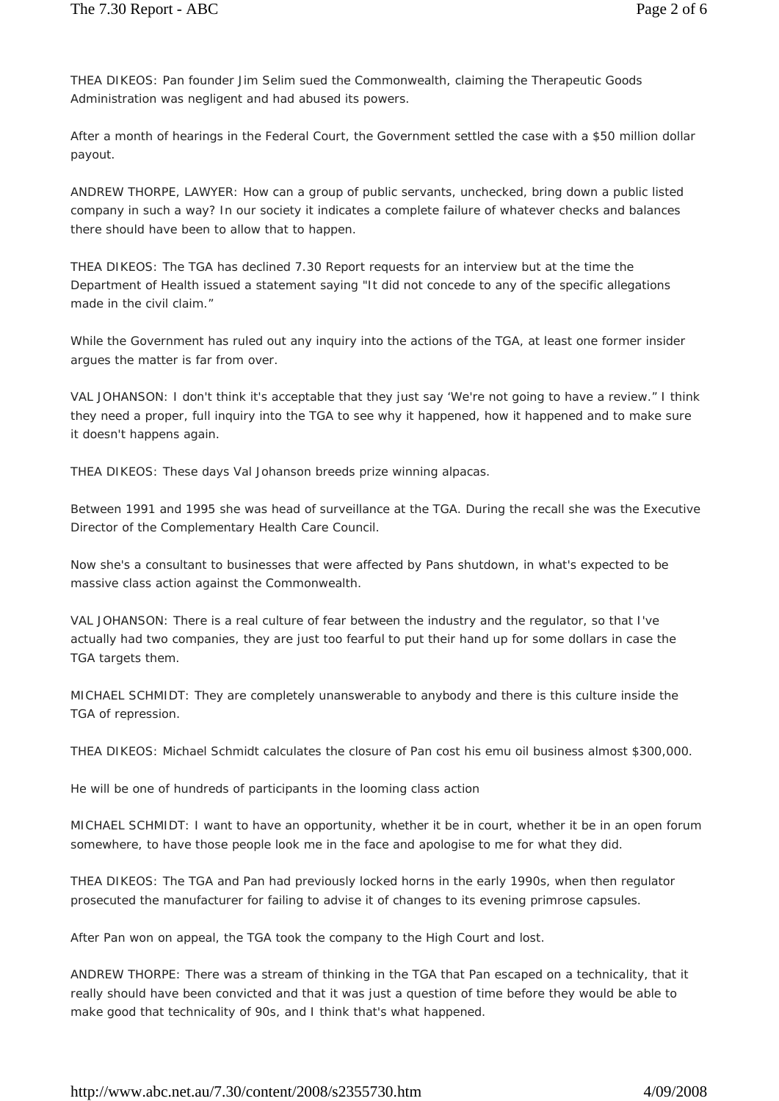THEA DIKEOS: Pan founder Jim Selim sued the Commonwealth, claiming the Therapeutic Goods Administration was negligent and had abused its powers.

After a month of hearings in the Federal Court, the Government settled the case with a \$50 million dollar payout.

ANDREW THORPE, LAWYER: How can a group of public servants, unchecked, bring down a public listed company in such a way? In our society it indicates a complete failure of whatever checks and balances there should have been to allow that to happen.

THEA DIKEOS: The TGA has declined 7.30 Report requests for an interview but at the time the Department of Health issued a statement saying "It did not concede to any of the specific allegations made in the civil claim."

While the Government has ruled out any inquiry into the actions of the TGA, at least one former insider argues the matter is far from over.

VAL JOHANSON: I don't think it's acceptable that they just say 'We're not going to have a review." I think they need a proper, full inquiry into the TGA to see why it happened, how it happened and to make sure it doesn't happens again.

THEA DIKEOS: These days Val Johanson breeds prize winning alpacas.

Between 1991 and 1995 she was head of surveillance at the TGA. During the recall she was the Executive Director of the Complementary Health Care Council.

Now she's a consultant to businesses that were affected by Pans shutdown, in what's expected to be massive class action against the Commonwealth.

VAL JOHANSON: There is a real culture of fear between the industry and the regulator, so that I've actually had two companies, they are just too fearful to put their hand up for some dollars in case the TGA targets them.

MICHAEL SCHMIDT: They are completely unanswerable to anybody and there is this culture inside the TGA of repression.

THEA DIKEOS: Michael Schmidt calculates the closure of Pan cost his emu oil business almost \$300,000.

He will be one of hundreds of participants in the looming class action

MICHAEL SCHMIDT: I want to have an opportunity, whether it be in court, whether it be in an open forum somewhere, to have those people look me in the face and apologise to me for what they did.

THEA DIKEOS: The TGA and Pan had previously locked horns in the early 1990s, when then regulator prosecuted the manufacturer for failing to advise it of changes to its evening primrose capsules.

After Pan won on appeal, the TGA took the company to the High Court and lost.

ANDREW THORPE: There was a stream of thinking in the TGA that Pan escaped on a technicality, that it really should have been convicted and that it was just a question of time before they would be able to make good that technicality of 90s, and I think that's what happened.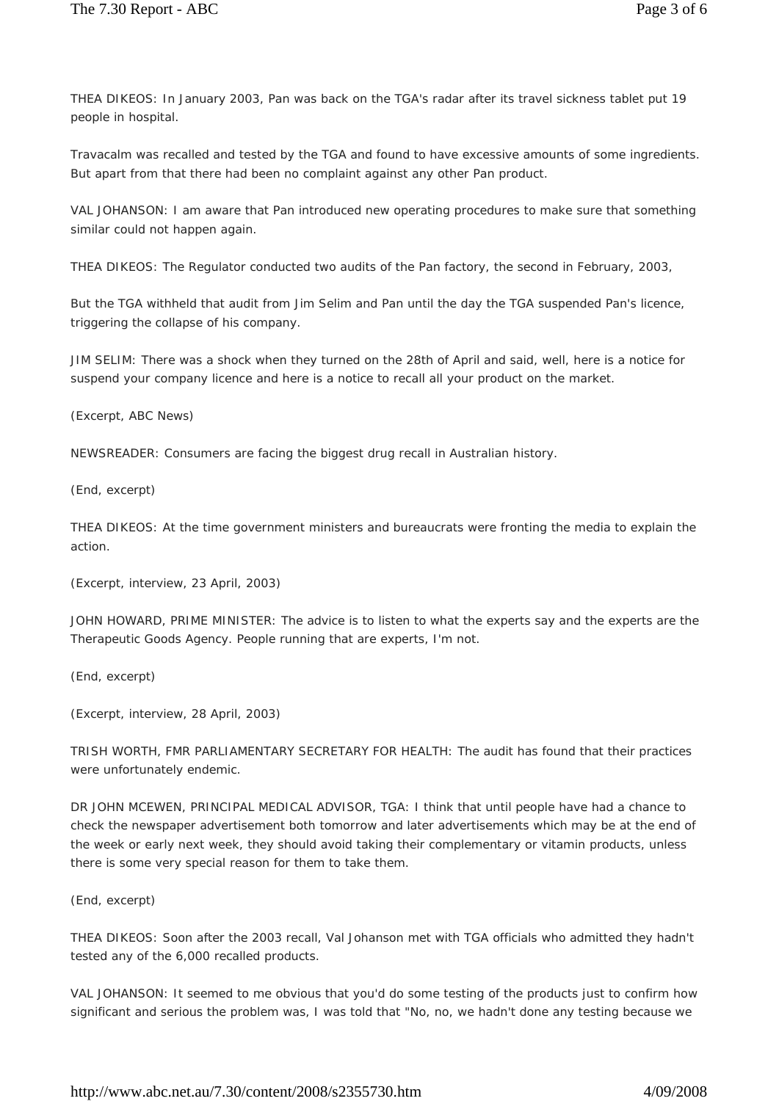THEA DIKEOS: In January 2003, Pan was back on the TGA's radar after its travel sickness tablet put 19 people in hospital.

Travacalm was recalled and tested by the TGA and found to have excessive amounts of some ingredients. But apart from that there had been no complaint against any other Pan product.

VAL JOHANSON: I am aware that Pan introduced new operating procedures to make sure that something similar could not happen again.

THEA DIKEOS: The Regulator conducted two audits of the Pan factory, the second in February, 2003,

But the TGA withheld that audit from Jim Selim and Pan until the day the TGA suspended Pan's licence, triggering the collapse of his company.

JIM SELIM: There was a shock when they turned on the 28th of April and said, well, here is a notice for suspend your company licence and here is a notice to recall all your product on the market.

(Excerpt, ABC News)

NEWSREADER: Consumers are facing the biggest drug recall in Australian history.

(End, excerpt)

THEA DIKEOS: At the time government ministers and bureaucrats were fronting the media to explain the action.

(Excerpt, interview, 23 April, 2003)

JOHN HOWARD, PRIME MINISTER: The advice is to listen to what the experts say and the experts are the Therapeutic Goods Agency. People running that are experts, I'm not.

(End, excerpt)

(Excerpt, interview, 28 April, 2003)

TRISH WORTH, FMR PARLIAMENTARY SECRETARY FOR HEALTH: The audit has found that their practices were unfortunately endemic.

DR JOHN MCEWEN, PRINCIPAL MEDICAL ADVISOR, TGA: I think that until people have had a chance to check the newspaper advertisement both tomorrow and later advertisements which may be at the end of the week or early next week, they should avoid taking their complementary or vitamin products, unless there is some very special reason for them to take them.

(End, excerpt)

THEA DIKEOS: Soon after the 2003 recall, Val Johanson met with TGA officials who admitted they hadn't tested any of the 6,000 recalled products.

VAL JOHANSON: It seemed to me obvious that you'd do some testing of the products just to confirm how significant and serious the problem was, I was told that "No, no, we hadn't done any testing because we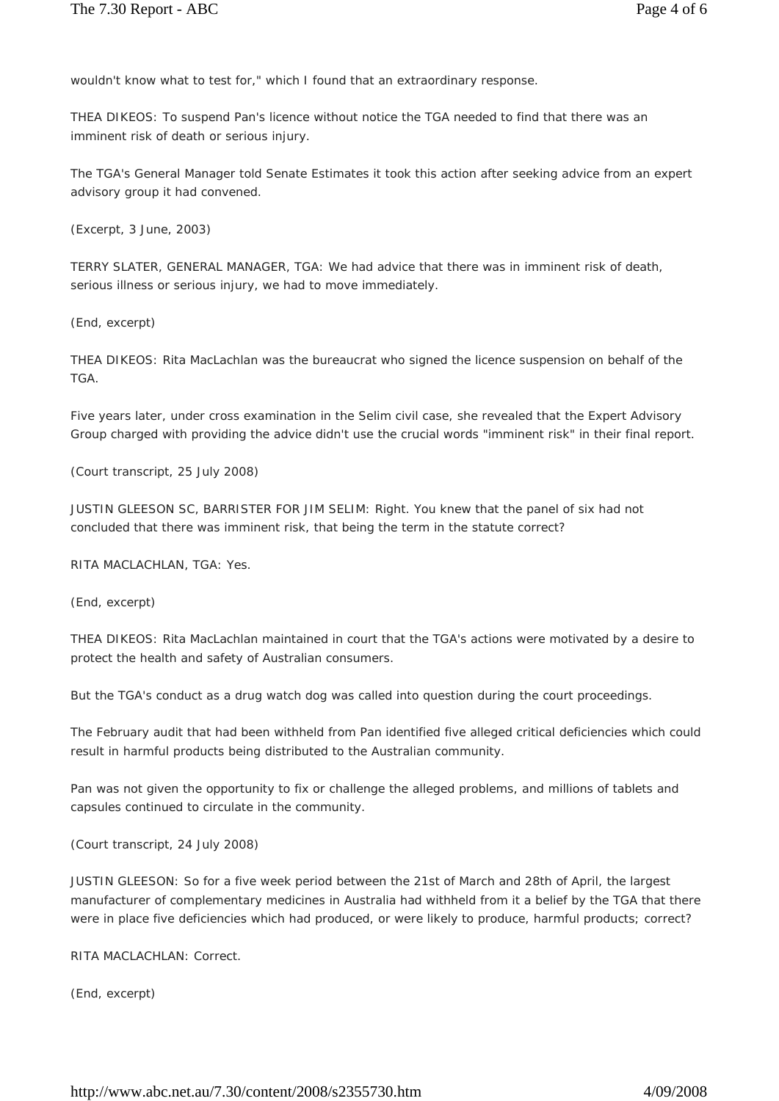wouldn't know what to test for," which I found that an extraordinary response.

THEA DIKEOS: To suspend Pan's licence without notice the TGA needed to find that there was an imminent risk of death or serious injury.

The TGA's General Manager told Senate Estimates it took this action after seeking advice from an expert advisory group it had convened.

(Excerpt, 3 June, 2003)

TERRY SLATER, GENERAL MANAGER, TGA: We had advice that there was in imminent risk of death, serious illness or serious injury, we had to move immediately.

(End, excerpt)

THEA DIKEOS: Rita MacLachlan was the bureaucrat who signed the licence suspension on behalf of the TGA.

Five years later, under cross examination in the Selim civil case, she revealed that the Expert Advisory Group charged with providing the advice didn't use the crucial words "imminent risk" in their final report.

(Court transcript, 25 July 2008)

JUSTIN GLEESON SC, BARRISTER FOR JIM SELIM: Right. You knew that the panel of six had not concluded that there was imminent risk, that being the term in the statute correct?

RITA MACLACHLAN, TGA: Yes.

(End, excerpt)

THEA DIKEOS: Rita MacLachlan maintained in court that the TGA's actions were motivated by a desire to protect the health and safety of Australian consumers.

But the TGA's conduct as a drug watch dog was called into question during the court proceedings.

The February audit that had been withheld from Pan identified five alleged critical deficiencies which could result in harmful products being distributed to the Australian community.

Pan was not given the opportunity to fix or challenge the alleged problems, and millions of tablets and capsules continued to circulate in the community.

(Court transcript, 24 July 2008)

JUSTIN GLEESON: So for a five week period between the 21st of March and 28th of April, the largest manufacturer of complementary medicines in Australia had withheld from it a belief by the TGA that there were in place five deficiencies which had produced, or were likely to produce, harmful products; correct?

RITA MACLACHLAN: Correct.

(End, excerpt)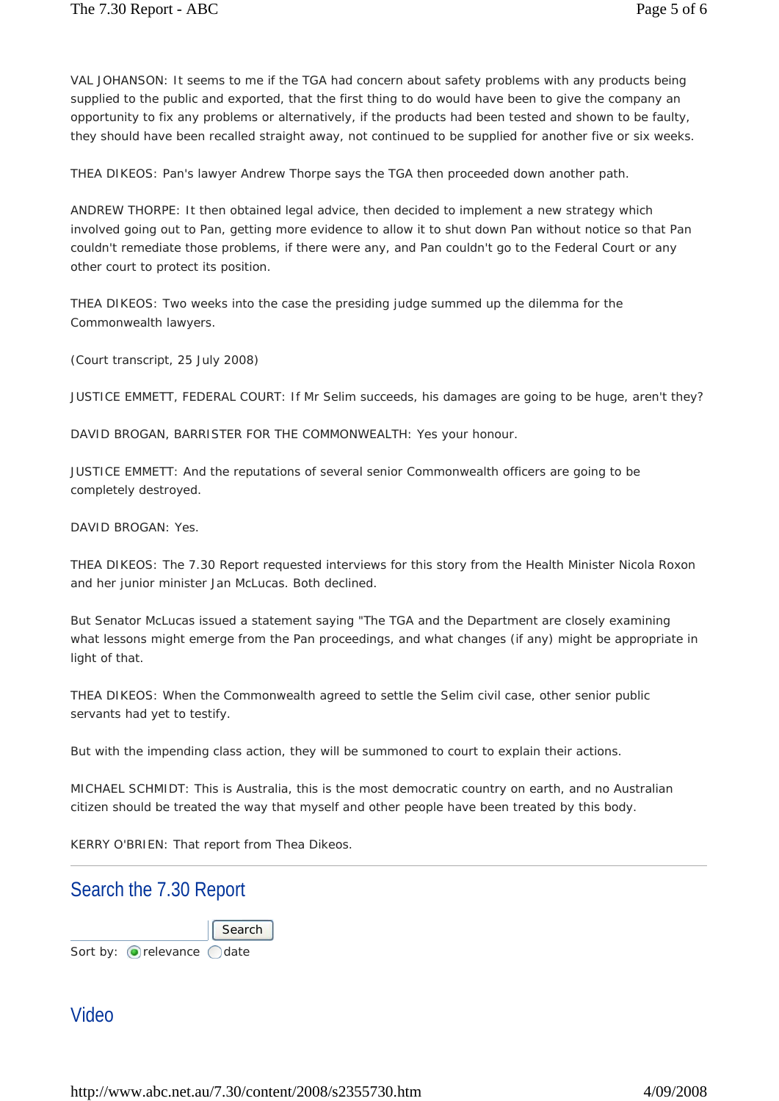VAL JOHANSON: It seems to me if the TGA had concern about safety problems with any products being supplied to the public and exported, that the first thing to do would have been to give the company an opportunity to fix any problems or alternatively, if the products had been tested and shown to be faulty, they should have been recalled straight away, not continued to be supplied for another five or six weeks.

THEA DIKEOS: Pan's lawyer Andrew Thorpe says the TGA then proceeded down another path.

ANDREW THORPE: It then obtained legal advice, then decided to implement a new strategy which involved going out to Pan, getting more evidence to allow it to shut down Pan without notice so that Pan couldn't remediate those problems, if there were any, and Pan couldn't go to the Federal Court or any other court to protect its position.

THEA DIKEOS: Two weeks into the case the presiding judge summed up the dilemma for the Commonwealth lawyers.

(Court transcript, 25 July 2008)

JUSTICE EMMETT, FEDERAL COURT: If Mr Selim succeeds, his damages are going to be huge, aren't they?

DAVID BROGAN, BARRISTER FOR THE COMMONWEALTH: Yes your honour.

JUSTICE EMMETT: And the reputations of several senior Commonwealth officers are going to be completely destroyed.

DAVID BROGAN: Yes.

THEA DIKEOS: The 7.30 Report requested interviews for this story from the Health Minister Nicola Roxon and her junior minister Jan McLucas. Both declined.

But Senator McLucas issued a statement saying "The TGA and the Department are closely examining what lessons might emerge from the Pan proceedings, and what changes (if any) might be appropriate in light of that.

THEA DIKEOS: When the Commonwealth agreed to settle the Selim civil case, other senior public servants had yet to testify.

But with the impending class action, they will be summoned to court to explain their actions.

MICHAEL SCHMIDT: This is Australia, this is the most democratic country on earth, and no Australian citizen should be treated the way that myself and other people have been treated by this body.

KERRY O'BRIEN: That report from Thea Dikeos.

#### Search the 7.30 Report

Sort by:  $\bigcirc$  relevance  $\bigcirc$  date **Search** 

#### Video